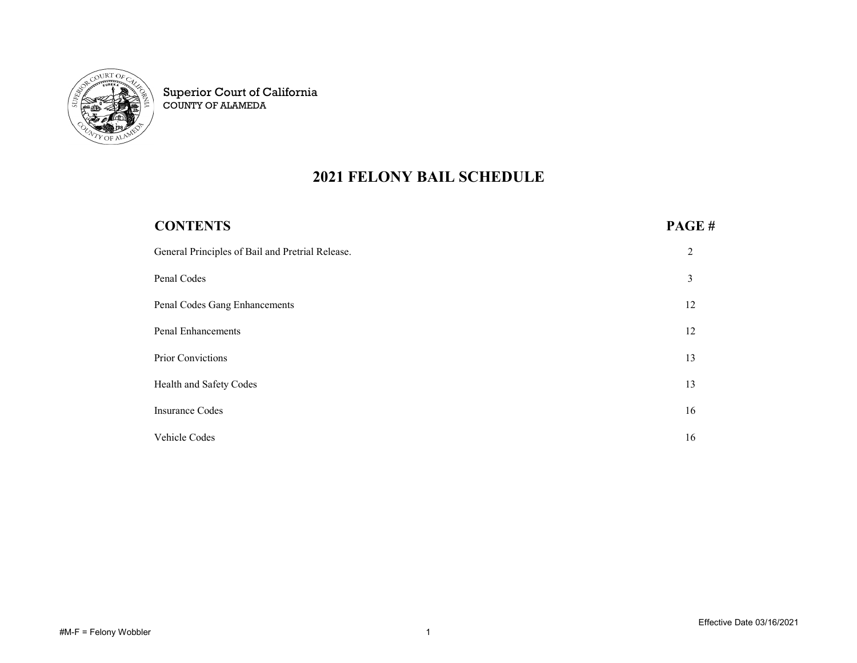

Superior Court of California COUNTY OF ALAMEDA

## 2021 FELONY BAIL SCHEDULE

| <b>CONTENTS</b>                                  | PAGE# |
|--------------------------------------------------|-------|
| General Principles of Bail and Pretrial Release. | 2     |
| Penal Codes                                      | 3     |
| Penal Codes Gang Enhancements                    | 12    |
| <b>Penal Enhancements</b>                        | 12    |
| Prior Convictions                                | 13    |
| Health and Safety Codes                          | 13    |
| <b>Insurance Codes</b>                           | 16    |
| Vehicle Codes                                    | 16    |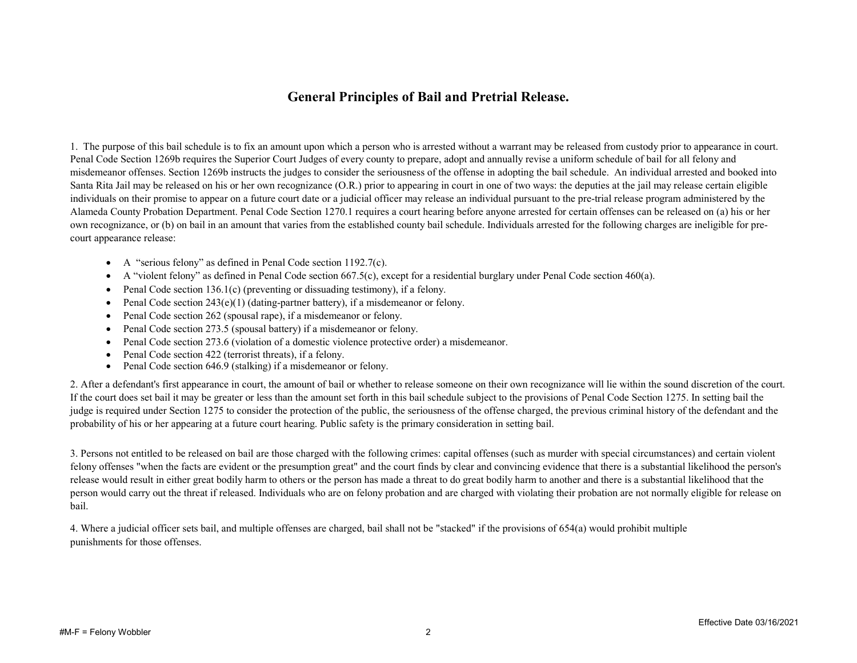## General Principles of Bail and Pretrial Release.

1. The purpose of this bail schedule is to fix an amount upon which a person who is arrested without a warrant may be released from custody prior to appearance in court. Penal Code Section 1269b requires the Superior Court Judges of every county to prepare, adopt and annually revise a uniform schedule of bail for all felony and misdemeanor offenses. Section 1269b instructs the judges to consider the seriousness of the offense in adopting the bail schedule. An individual arrested and booked into Santa Rita Jail may be released on his or her own recognizance (O.R.) prior to appearing in court in one of two ways: the deputies at the jail may release certain eligible individuals on their promise to appear on a future court date or a judicial officer may release an individual pursuant to the pre-trial release program administered by the Alameda County Probation Department. Penal Code Section 1270.1 requires a court hearing before anyone arrested for certain offenses can be released on (a) his or her own recognizance, or (b) on bail in an amount that varies from the established county bail schedule. Individuals arrested for the following charges are ineligible for precourt appearance release:

- A "serious felony" as defined in Penal Code section 1192.7(c).
- $\bullet$  A "violent felony" as defined in Penal Code section 667.5(c), except for a residential burglary under Penal Code section 460(a).
- Penal Code section 136.1(c) (preventing or dissuading testimony), if a felony.
- Penal Code section  $243(e)(1)$  (dating-partner battery), if a misdemeanor or felony.
- Penal Code section 262 (spousal rape), if a misdemeanor or felony.
- Penal Code section 273.5 (spousal battery) if a misdemeanor or felony.
- Penal Code section 273.6 (violation of a domestic violence protective order) a misdemeanor.
- Penal Code section 422 (terrorist threats), if a felony.
- Penal Code section 646.9 (stalking) if a misdemeanor or felony.

2. After a defendant's first appearance in court, the amount of bail or whether to release someone on their own recognizance will lie within the sound discretion of the court. If the court does set bail it may be greater or less than the amount set forth in this bail schedule subject to the provisions of Penal Code Section 1275. In setting bail the judge is required under Section 1275 to consider the protection of the public, the seriousness of the offense charged, the previous criminal history of the defendant and the probability of his or her appearing at a future court hearing. Public safety is the primary consideration in setting bail.

3. Persons not entitled to be released on bail are those charged with the following crimes: capital offenses (such as murder with special circumstances) and certain violent felony offenses "when the facts are evident or the presumption great" and the court finds by clear and convincing evidence that there is a substantial likelihood the person's release would result in either great bodily harm to others or the person has made a threat to do great bodily harm to another and there is a substantial likelihood that the person would carry out the threat if released. Individuals who are on felony probation and are charged with violating their probation are not normally eligible for release on bail.

4. Where a judicial officer sets bail, and multiple offenses are charged, bail shall not be "stacked" if the provisions of 654(a) would prohibit multiple punishments for those offenses.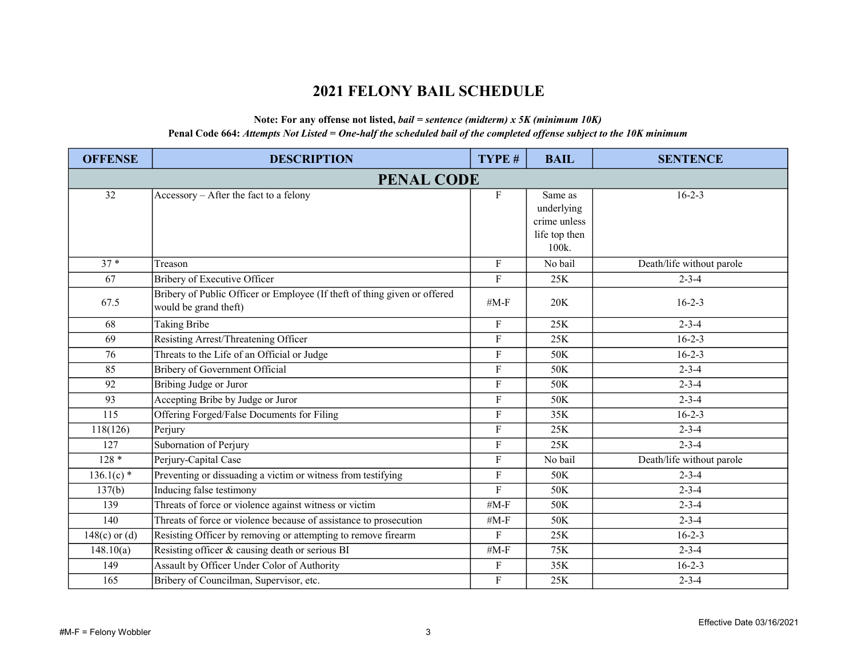## 2021 FELONY BAIL SCHEDULE

## Note: For any offense not listed,  $bail = sentence$  (midterm) x 5K (minimum 10K) Penal Code 664: Attempts Not Listed = One-half the scheduled bail of the completed offense subject to the 10K minimum

| <b>OFFENSE</b>  | <b>DESCRIPTION</b>                                                                                 | TYPE #                    | <b>BAIL</b>                                                     | <b>SENTENCE</b>           |
|-----------------|----------------------------------------------------------------------------------------------------|---------------------------|-----------------------------------------------------------------|---------------------------|
|                 | <b>PENAL CODE</b>                                                                                  |                           |                                                                 |                           |
| 32              | Accessory - After the fact to a felony                                                             | $\mathbf F$               | Same as<br>underlying<br>crime unless<br>life top then<br>100k. | $16 - 2 - 3$              |
| $37*$           | Treason                                                                                            | F                         | No bail                                                         | Death/life without parole |
| 67              | Bribery of Executive Officer                                                                       | ${\bf F}$                 | 25K                                                             | $2 - 3 - 4$               |
| 67.5            | Bribery of Public Officer or Employee (If theft of thing given or offered<br>would be grand theft) | # $M-F$                   | 20K                                                             | $16 - 2 - 3$              |
| 68              | <b>Taking Bribe</b>                                                                                | F                         | 25K                                                             | $2 - 3 - 4$               |
| 69              | Resisting Arrest/Threatening Officer                                                               | ${\bf F}$                 | 25K                                                             | $16 - 2 - 3$              |
| 76              | Threats to the Life of an Official or Judge                                                        | ${\bf F}$                 | 50K                                                             | $16 - 2 - 3$              |
| 85              | Bribery of Government Official                                                                     | $\boldsymbol{\mathrm{F}}$ | 50K                                                             | $2 - 3 - 4$               |
| 92              | Bribing Judge or Juror                                                                             | $\boldsymbol{\mathrm{F}}$ | 50K                                                             | $2 - 3 - 4$               |
| 93              | Accepting Bribe by Judge or Juror                                                                  | ${\bf F}$                 | 50K                                                             | $2 - 3 - 4$               |
| 115             | Offering Forged/False Documents for Filing                                                         | $\mathbf F$               | 35K                                                             | $16 - 2 - 3$              |
| 118(126)        | Perjury                                                                                            | ${\bf F}$                 | 25K                                                             | $2 - 3 - 4$               |
| 127             | Subornation of Perjury                                                                             | ${\bf F}$                 | 25K                                                             | $2 - 3 - 4$               |
| $128*$          | Perjury-Capital Case                                                                               | ${\bf F}$                 | No bail                                                         | Death/life without parole |
| $136.1(c)$ *    | Preventing or dissuading a victim or witness from testifying                                       | $\overline{F}$            | 50K                                                             | $2 - 3 - 4$               |
| 137(b)          | Inducing false testimony                                                                           | $\mathbf{F}$              | 50K                                                             | $2 - 3 - 4$               |
| 139             | Threats of force or violence against witness or victim                                             | # $M-F$                   | 50K                                                             | $2 - 3 - 4$               |
| 140             | Threats of force or violence because of assistance to prosecution                                  | $#M-F$                    | 50K                                                             | $2 - 3 - 4$               |
| $148(c)$ or (d) | Resisting Officer by removing or attempting to remove firearm                                      | $\overline{F}$            | 25K                                                             | $16 - 2 - 3$              |
| 148.10(a)       | Resisting officer & causing death or serious BI                                                    | # $M-F$                   | 75K                                                             | $2 - 3 - 4$               |
| 149             | Assault by Officer Under Color of Authority                                                        | $\boldsymbol{\mathrm{F}}$ | 35K                                                             | $16 - 2 - 3$              |
| 165             | Bribery of Councilman, Supervisor, etc.                                                            | $\boldsymbol{F}$          | 25K                                                             | $2 - 3 - 4$               |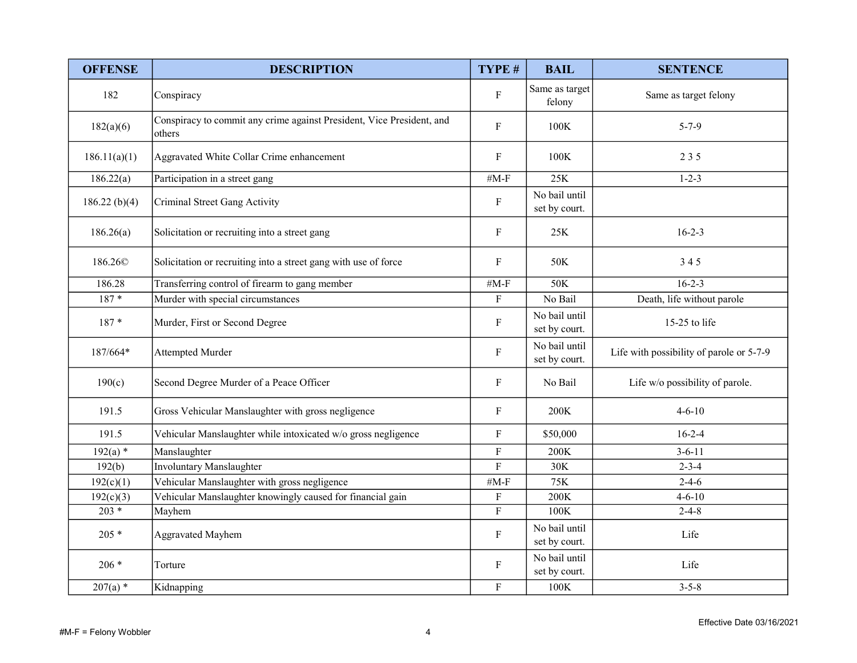| <b>OFFENSE</b>      | <b>DESCRIPTION</b>                                                              | TYPE #                    | <b>BAIL</b>                    | <b>SENTENCE</b>                          |
|---------------------|---------------------------------------------------------------------------------|---------------------------|--------------------------------|------------------------------------------|
| 182                 | Conspiracy                                                                      | $\mathbf{F}$              | Same as target<br>felony       | Same as target felony                    |
| 182(a)(6)           | Conspiracy to commit any crime against President, Vice President, and<br>others | $\mathbf F$               | 100K                           | $5 - 7 - 9$                              |
| 186.11(a)(1)        | Aggravated White Collar Crime enhancement                                       | $\mathbf F$               | 100K                           | 235                                      |
| 186.22(a)           | Participation in a street gang                                                  | # $M-F$                   | 25K                            | $1 - 2 - 3$                              |
| 186.22 $(b)(4)$     | Criminal Street Gang Activity                                                   | $\boldsymbol{\mathrm{F}}$ | No bail until<br>set by court. |                                          |
| 186.26(a)           | Solicitation or recruiting into a street gang                                   | ${\bf F}$                 | 25K                            | $16 - 2 - 3$                             |
| 186.26 <sup>©</sup> | Solicitation or recruiting into a street gang with use of force                 | $\mathbf{F}$              | 50K                            | 345                                      |
| 186.28              | Transferring control of firearm to gang member                                  | $#M-F$                    | 50K                            | $16 - 2 - 3$                             |
| $187 *$             | Murder with special circumstances                                               | $\mathbf F$               | No Bail                        | Death, life without parole               |
| $187 *$             | Murder, First or Second Degree                                                  | $\mathbf{F}$              | No bail until<br>set by court. | 15-25 to life                            |
| $187/664*$          | Attempted Murder                                                                | $\mathbf F$               | No bail until<br>set by court. | Life with possibility of parole or 5-7-9 |
| 190(c)              | Second Degree Murder of a Peace Officer                                         | $\boldsymbol{\mathrm{F}}$ | No Bail                        | Life w/o possibility of parole.          |
| 191.5               | Gross Vehicular Manslaughter with gross negligence                              | $\mathbf{F}$              | 200K                           | $4 - 6 - 10$                             |
| 191.5               | Vehicular Manslaughter while intoxicated w/o gross negligence                   | $\mathbf F$               | \$50,000                       | $16 - 2 - 4$                             |
| $192(a)$ *          | Manslaughter                                                                    | $\rm F$                   | 200K                           | $3 - 6 - 11$                             |
| 192(b)              | <b>Involuntary Manslaughter</b>                                                 | ${\bf F}$                 | 30K                            | $2 - 3 - 4$                              |
| 192(c)(1)           | Vehicular Manslaughter with gross negligence                                    | # $M-F$                   | 75K                            | $2 - 4 - 6$                              |
| 192(c)(3)           | Vehicular Manslaughter knowingly caused for financial gain                      | $\mathbf{F}$              | 200K                           | $4 - 6 - 10$                             |
| $203 *$             | Mayhem                                                                          | $\mathbf F$               | 100K                           | $2 - 4 - 8$                              |
| $205 *$             | <b>Aggravated Mayhem</b>                                                        | $\mathbf F$               | No bail until<br>set by court. | Life                                     |
| $206 *$             | Torture                                                                         | $\mathbf F$               | No bail until<br>set by court. | Life                                     |
| $207(a)$ *          | Kidnapping                                                                      | $\mathbf{F}$              | 100K                           | $3 - 5 - 8$                              |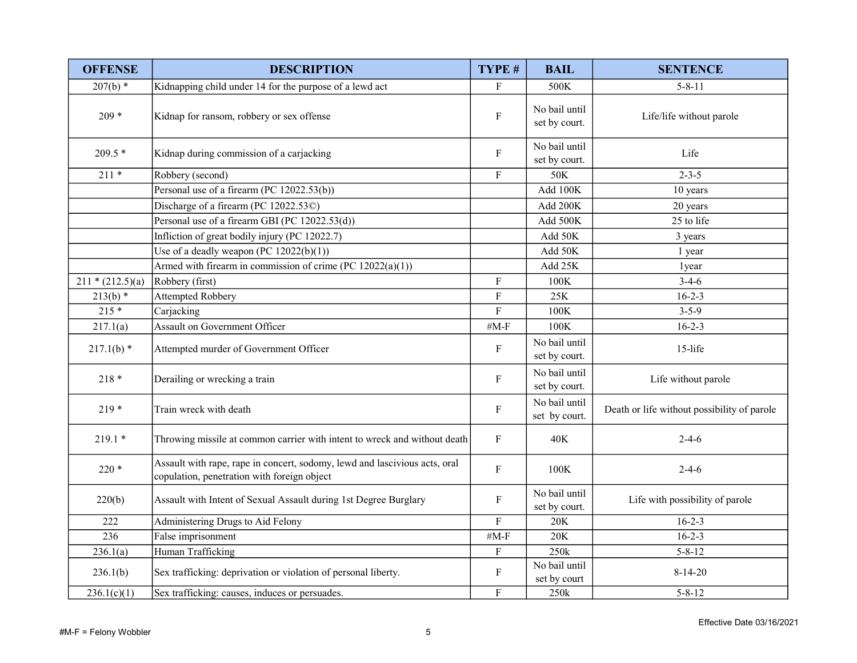| <b>OFFENSE</b>     | <b>DESCRIPTION</b>                                                                                                        | TYPE #                    | <b>BAIL</b>                    | <b>SENTENCE</b>                             |
|--------------------|---------------------------------------------------------------------------------------------------------------------------|---------------------------|--------------------------------|---------------------------------------------|
| $207(b)$ *         | Kidnapping child under 14 for the purpose of a lewd act                                                                   | F                         | 500K                           | $5 - 8 - 11$                                |
| $209 *$            | Kidnap for ransom, robbery or sex offense                                                                                 | $\mathbf F$               | No bail until<br>set by court. | Life/life without parole                    |
| $209.5*$           | Kidnap during commission of a carjacking                                                                                  | $\mathbf{F}$              | No bail until<br>set by court. | Life                                        |
| $211*$             | Robbery (second)                                                                                                          | F                         | 50K                            | $2 - 3 - 5$                                 |
|                    | Personal use of a firearm (PC 12022.53(b))                                                                                |                           | Add 100K                       | 10 years                                    |
|                    | Discharge of a firearm (PC 12022.53C)                                                                                     |                           | Add 200K                       | 20 years                                    |
|                    | Personal use of a firearm GBI (PC 12022.53(d))                                                                            |                           | Add 500K                       | 25 to life                                  |
|                    | Infliction of great bodily injury (PC 12022.7)                                                                            |                           | Add 50K                        | 3 years                                     |
|                    | Use of a deadly weapon (PC $12022(b)(1)$ )                                                                                |                           | Add 50K                        | 1 year                                      |
|                    | Armed with firearm in commission of crime (PC $12022(a)(1)$ )                                                             |                           | Add 25K                        | 1year                                       |
| $211 * (212.5)(a)$ | Robbery (first)                                                                                                           | $\boldsymbol{\mathrm{F}}$ | 100K                           | $3-4-6$                                     |
| $213(b)$ *         | Attempted Robbery                                                                                                         | $\boldsymbol{\mathrm{F}}$ | 25K                            | $16 - 2 - 3$                                |
| $215*$             | Carjacking                                                                                                                | $\overline{F}$            | 100K                           | $3 - 5 - 9$                                 |
| 217.1(a)           | <b>Assault on Government Officer</b>                                                                                      | # $M-F$                   | 100K                           | $16 - 2 - 3$                                |
| $217.1(b)$ *       | Attempted murder of Government Officer                                                                                    | $\mathbf F$               | No bail until<br>set by court. | 15-life                                     |
| $218*$             | Derailing or wrecking a train                                                                                             | $\mathbf F$               | No bail until<br>set by court. | Life without parole                         |
| $219*$             | Train wreck with death                                                                                                    | $\boldsymbol{\mathrm{F}}$ | No bail until<br>set by court. | Death or life without possibility of parole |
| $219.1*$           | Throwing missile at common carrier with intent to wreck and without death                                                 | $\mathbf F$               | 40K                            | $2 - 4 - 6$                                 |
| $220*$             | Assault with rape, rape in concert, sodomy, lewd and lascivious acts, oral<br>copulation, penetration with foreign object | $\boldsymbol{\mathrm{F}}$ | 100K                           | $2 - 4 - 6$                                 |
| 220(b)             | Assault with Intent of Sexual Assault during 1st Degree Burglary                                                          | $\boldsymbol{\mathrm{F}}$ | No bail until<br>set by court. | Life with possibility of parole             |
| 222                | Administering Drugs to Aid Felony                                                                                         | $\boldsymbol{\mathrm{F}}$ | 20K                            | $16 - 2 - 3$                                |
| 236                | False imprisonment                                                                                                        | # $M-F$                   | 20K                            | $16 - 2 - 3$                                |
| 236.1(a)           | Human Trafficking                                                                                                         | $\mathbf F$               | 250k                           | $5 - 8 - 12$                                |
| 236.1(b)           | Sex trafficking: deprivation or violation of personal liberty.                                                            | $\mathbf F$               | No bail until<br>set by court  | $8-14-20$                                   |
| 236.1(c)(1)        | Sex trafficking: causes, induces or persuades.                                                                            | F                         | 250k                           | $5 - 8 - 12$                                |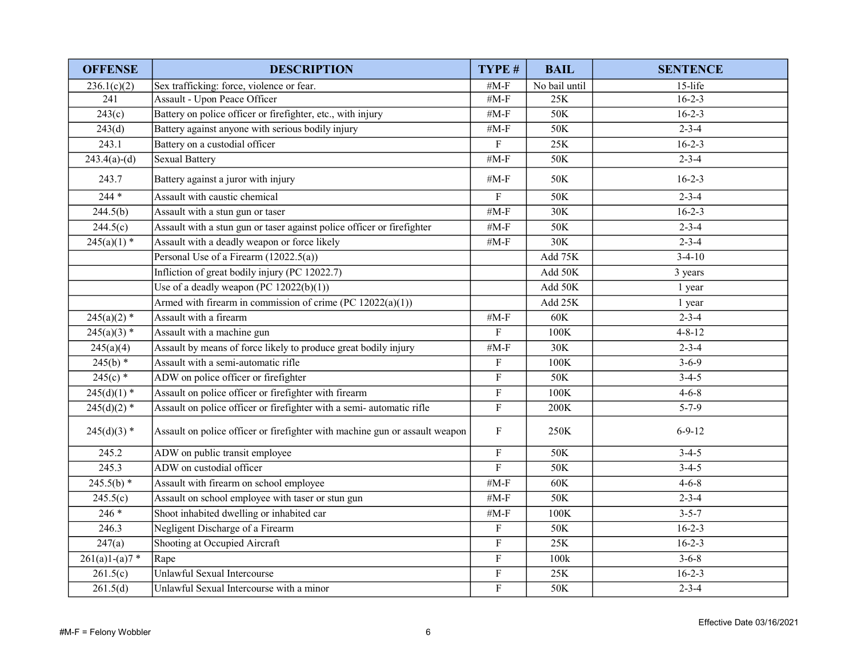| <b>OFFENSE</b>  | <b>DESCRIPTION</b>                                                          | TYPE #                  | <b>BAIL</b>    | <b>SENTENCE</b> |
|-----------------|-----------------------------------------------------------------------------|-------------------------|----------------|-----------------|
| 236.1(c)(2)     | Sex trafficking: force, violence or fear.                                   | # $M-F$                 | No bail until  | 15-life         |
| 241             | Assault - Upon Peace Officer                                                | # $M-F$                 | 25K            | $16 - 2 - 3$    |
| 243(c)          | Battery on police officer or firefighter, etc., with injury                 | # $M-F$                 | 50K            | $16 - 2 - 3$    |
| 243(d)          | Battery against anyone with serious bodily injury                           | # $M-F$                 | 50K            | $2 - 3 - 4$     |
| 243.1           | Battery on a custodial officer                                              | $\mathbf{F}$            | 25K            | $16 - 2 - 3$    |
| $243.4(a)-(d)$  | <b>Sexual Battery</b>                                                       | # $M-F$                 | 50K            | $2 - 3 - 4$     |
| 243.7           | Battery against a juror with injury                                         | $#M-F$                  | 50K            | $16 - 2 - 3$    |
| $244 *$         | Assault with caustic chemical                                               | $\boldsymbol{F}$        | 50K            | $2 - 3 - 4$     |
| 244.5(b)        | Assault with a stun gun or taser                                            | # $M-F$                 | 30K            | $16 - 2 - 3$    |
| 244.5(c)        | Assault with a stun gun or taser against police officer or firefighter      | $#M-F$                  | 50K            | $2 - 3 - 4$     |
| $245(a)(1)$ *   | Assault with a deadly weapon or force likely                                | # $M-F$                 | 30K            | $2 - 3 - 4$     |
|                 | Personal Use of a Firearm (12022.5(a))                                      |                         | Add 75K        | $3-4-10$        |
|                 | Infliction of great bodily injury (PC 12022.7)                              |                         | Add 50K        | 3 years         |
|                 | Use of a deadly weapon (PC $12022(b)(1)$ )                                  |                         | Add 50K        | 1 year          |
|                 | Armed with firearm in commission of crime (PC $12022(a)(1)$ )               |                         | Add 25K        | 1 year          |
| $245(a)(2)$ *   | Assault with a firearm                                                      | # $M-F$                 | 60K            | $2 - 3 - 4$     |
| $245(a)(3)$ *   | Assault with a machine gun                                                  | $\mathbf F$             | 100K           | $4 - 8 - 12$    |
| 245(a)(4)       | Assault by means of force likely to produce great bodily injury             | # $M-F$                 | 30K            | $2 - 3 - 4$     |
| $245(b)$ *      | Assault with a semi-automatic rifle                                         | $\mathbf F$             | 100K           | $3 - 6 - 9$     |
| $245(c)$ *      | ADW on police officer or firefighter                                        | $\mathbf F$             | 50K            | $3-4-5$         |
| $245(d)(1)$ *   | Assault on police officer or firefighter with firearm                       | $\mathbf F$             | 100K           | $4 - 6 - 8$     |
| $245(d)(2)$ *   | Assault on police officer or firefighter with a semi-automatic rifle        | $\mathbf F$             | 200K           | $5 - 7 - 9$     |
| $245(d)(3)$ *   | Assault on police officer or firefighter with machine gun or assault weapon | $\mathbf F$             | 250K           | $6 - 9 - 12$    |
| 245.2           | ADW on public transit employee                                              | $\overline{\mathrm{F}}$ | 50K            | $3-4-5$         |
| 245.3           | ADW on custodial officer                                                    | $\mathbf F$             | 50K            | $3-4-5$         |
| $245.5(b)$ *    | Assault with firearm on school employee                                     | # $M-F$                 | $60\mathrm{K}$ | $4 - 6 - 8$     |
| 245.5(c)        | Assault on school employee with taser or stun gun                           | # $M-F$                 | 50K            | $2 - 3 - 4$     |
| $246*$          | Shoot inhabited dwelling or inhabited car                                   | # $M-F$                 | 100K           | $3 - 5 - 7$     |
| 246.3           | Negligent Discharge of a Firearm                                            | $\mathbf{F}$            | 50K            | $16 - 2 - 3$    |
| 247(a)          | Shooting at Occupied Aircraft                                               | $\mathbf F$             | 25K            | $16 - 2 - 3$    |
| $261(a)1-(a)7*$ | Rape                                                                        | $\mathbf F$             | 100k           | $3 - 6 - 8$     |
| 261.5(c)        | Unlawful Sexual Intercourse                                                 | $\rm F$                 | 25K            | $16 - 2 - 3$    |
| 261.5(d)        | Unlawful Sexual Intercourse with a minor                                    | ${\bf F}$               | 50K            | $2 - 3 - 4$     |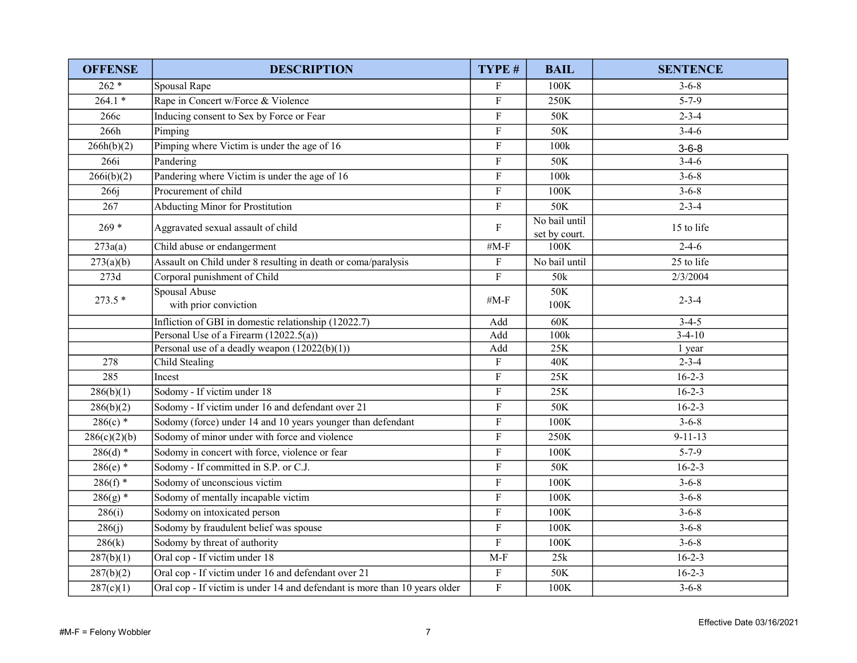| <b>OFFENSE</b>   | <b>DESCRIPTION</b>                                                         | TYPE #                    | <b>BAIL</b>                    | <b>SENTENCE</b> |
|------------------|----------------------------------------------------------------------------|---------------------------|--------------------------------|-----------------|
| $262 *$          | Spousal Rape                                                               | $\boldsymbol{\mathrm{F}}$ | 100K                           | $3 - 6 - 8$     |
| $264.1*$         | Rape in Concert w/Force & Violence                                         | $\mathbf F$               | 250K                           | $5 - 7 - 9$     |
| 266c             | Inducing consent to Sex by Force or Fear                                   | $\mathbf F$               | 50K                            | $2 - 3 - 4$     |
| 266h             | Pimping                                                                    | $\rm F$                   | 50K                            | $3-4-6$         |
| 266h(b)(2)       | Pimping where Victim is under the age of 16                                | $\mathbf F$               | 100k                           | $3 - 6 - 8$     |
| 266i             | Pandering                                                                  | $\mathbf F$               | 50K                            | $3-4-6$         |
| 266i(b)(2)       | Pandering where Victim is under the age of 16                              | $\boldsymbol{\mathrm{F}}$ | 100k                           | $3 - 6 - 8$     |
| 266 <sub>i</sub> | Procurement of child                                                       | $\mathbf F$               | 100K                           | $3 - 6 - 8$     |
| 267              | Abducting Minor for Prostitution                                           | $\mathbf F$               | 50K                            | $2 - 3 - 4$     |
| $269*$           | Aggravated sexual assault of child                                         | $\mathbf{F}$              | No bail until<br>set by court. | 15 to life      |
| 273a(a)          | Child abuse or endangerment                                                | # $M-F$                   | 100K                           | $2-4-6$         |
| 273(a)(b)        | Assault on Child under 8 resulting in death or coma/paralysis              | $\boldsymbol{\mathrm{F}}$ | No bail until                  | 25 to life      |
| 273d             | Corporal punishment of Child                                               | $\mathbf F$               | 50k                            | 2/3/2004        |
| $273.5*$         | Spousal Abuse<br>with prior conviction                                     | # $M-F$                   | 50K<br>100K                    | $2 - 3 - 4$     |
|                  | Infliction of GBI in domestic relationship (12022.7)                       | Add                       | 60K                            | $3-4-5$         |
|                  | Personal Use of a Firearm (12022.5(a))                                     | Add                       | 100k                           | $3-4-10$        |
|                  | Personal use of a deadly weapon $(12022(b)(1))$                            | Add                       | $25K$                          | 1 year          |
| 278              | Child Stealing                                                             | $\mathbf F$               | 40K                            | $2 - 3 - 4$     |
| 285              | Incest                                                                     | $\mathbf F$               | 25K                            | $16 - 2 - 3$    |
| 286(b)(1)        | Sodomy - If victim under 18                                                | $\mathbf F$               | 25K                            | $16 - 2 - 3$    |
| 286(b)(2)        | Sodomy - If victim under 16 and defendant over 21                          | $\rm F$                   | 50K                            | $16-2-3$        |
| $286(c)$ *       | Sodomy (force) under 14 and 10 years younger than defendant                | $\mathbf F$               | 100K                           | $3 - 6 - 8$     |
| 286(c)(2)(b)     | Sodomy of minor under with force and violence                              | $\overline{\mathrm{F}}$   | 250K                           | $9-11-13$       |
| $286(d)$ *       | Sodomy in concert with force, violence or fear                             | $\mathbf F$               | 100K                           | $5 - 7 - 9$     |
| $286(e)$ *       | Sodomy - If committed in S.P. or C.J.                                      | $\overline{F}$            | 50K                            | $16 - 2 - 3$    |
| $286(f)$ *       | Sodomy of unconscious victim                                               | $\rm F$                   | 100K                           | $3 - 6 - 8$     |
| $286(g)$ *       | Sodomy of mentally incapable victim                                        | $\mathbf F$               | 100K                           | $3 - 6 - 8$     |
| 286(i)           | Sodomy on intoxicated person                                               | $\mathbf F$               | 100K                           | $3 - 6 - 8$     |
| 286(i)           | Sodomy by fraudulent belief was spouse                                     | $\boldsymbol{\mathrm{F}}$ | 100K                           | $3 - 6 - 8$     |
| 286(k)           | Sodomy by threat of authority                                              | $\boldsymbol{\mathrm{F}}$ | 100K                           | $3 - 6 - 8$     |
| 287(b)(1)        | Oral cop - If victim under 18                                              | $M-F$                     | 25k                            | $16 - 2 - 3$    |
| 287(b)(2)        | Oral cop - If victim under 16 and defendant over 21                        | $\mathbf F$               | 50K                            | $16 - 2 - 3$    |
| 287(c)(1)        | Oral cop - If victim is under 14 and defendant is more than 10 years older | $\mathbf F$               | 100K                           | $3 - 6 - 8$     |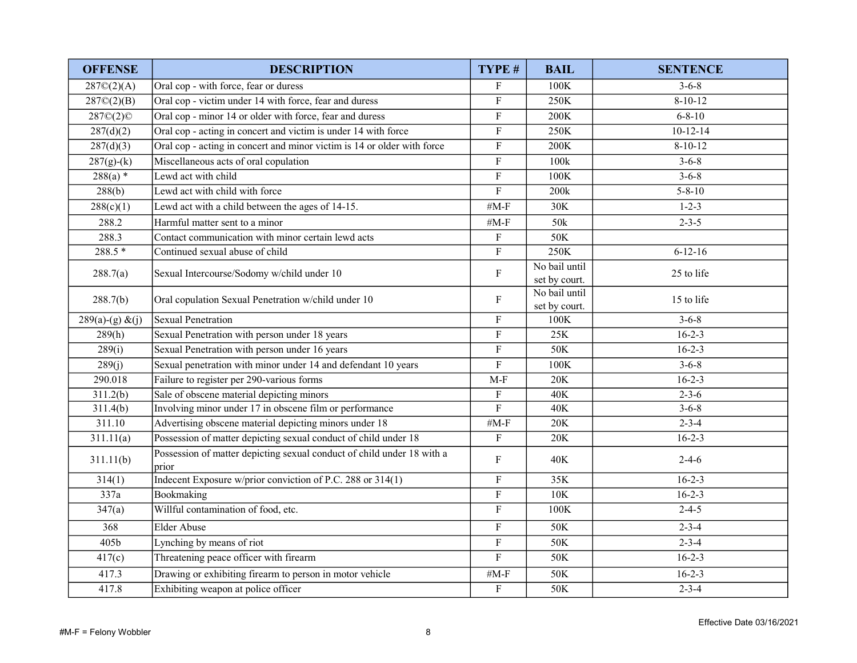| <b>OFFENSE</b>               | <b>DESCRIPTION</b>                                                                                   | TYPE #                    | <b>BAIL</b>           | <b>SENTENCE</b>            |
|------------------------------|------------------------------------------------------------------------------------------------------|---------------------------|-----------------------|----------------------------|
| 287O(2)(A)                   | Oral cop - with force, fear or duress                                                                | $\rm F$                   | 100K                  | $3 - 6 - 8$                |
| 287O(2)(B)                   | Oral cop - victim under 14 with force, fear and duress                                               | ${\bf F}$                 | 250K                  | $8-10-12$                  |
| 287©(2)©                     | Oral cop - minor 14 or older with force, fear and duress                                             | ${\bf F}$                 | 200K                  | $6 - 8 - 10$               |
| 287(d)(2)                    | Oral cop - acting in concert and victim is under 14 with force                                       | $\mathbf F$               | 250K                  | $10 - 12 - 14$             |
| 287(d)(3)                    | Oral cop - acting in concert and minor victim is 14 or older with force                              | $\mathbf F$               | 200K                  | $8 - 10 - 12$              |
| $287(g)-(k)$                 | Miscellaneous acts of oral copulation                                                                | $\mathbf F$               | 100k                  | $3 - 6 - 8$                |
| $288(a)$ *                   | Lewd act with child                                                                                  | $\rm F$                   | 100K                  | $3 - 6 - 8$                |
| 288(b)                       | Lewd act with child with force                                                                       | $\overline{F}$            | 200k                  | $5 - 8 - 10$               |
| 288(c)(1)                    | Lewd act with a child between the ages of 14-15.                                                     | # $M-F$                   | 30K                   | $1 - 2 - 3$                |
| 288.2                        | Harmful matter sent to a minor                                                                       | # $M-F$                   | 50 <sub>k</sub>       | $2 - 3 - 5$                |
| 288.3                        | Contact communication with minor certain lewd acts                                                   | $\mathbf F$               | 50K                   |                            |
| $288.5*$                     | Continued sexual abuse of child                                                                      | $\overline{F}$            | 250K                  | $6 - 12 - 16$              |
| 288.7(a)                     | Sexual Intercourse/Sodomy w/child under 10                                                           | $\rm F$                   | No bail until         | 25 to life                 |
|                              |                                                                                                      |                           | set by court.         |                            |
| 288.7(b)                     | Oral copulation Sexual Penetration w/child under 10                                                  | $\boldsymbol{\mathrm{F}}$ | No bail until         | 15 to life                 |
|                              | <b>Sexual Penetration</b>                                                                            | $\mathbf F$               | set by court.<br>100K | $3 - 6 - 8$                |
| $289(a)-(g) & (j)$<br>289(h) | Sexual Penetration with person under 18 years                                                        | $\rm F$                   | 25K                   | $16 - 2 - 3$               |
| 289(i)                       | Sexual Penetration with person under 16 years                                                        | $\mathbf F$               | 50K                   | $16 - 2 - 3$               |
| 289(i)                       | Sexual penetration with minor under 14 and defendant 10 years                                        | $\mathbf F$               | 100K                  | $3 - 6 - 8$                |
|                              |                                                                                                      |                           | 20K                   | $16 - 2 - 3$               |
| 290.018                      | Failure to register per 290-various forms                                                            | $M-F$                     |                       |                            |
| 311.2(b)<br>311.4(b)         | Sale of obscene material depicting minors<br>Involving minor under 17 in obscene film or performance | $\mathbf F$<br>$\rm F$    | 40K<br>40K            | $2 - 3 - 6$<br>$3 - 6 - 8$ |
| 311.10                       | Advertising obscene material depicting minors under 18                                               | # $M-F$                   | 20K                   | $2 - 3 - 4$                |
| 311.11(a)                    | Possession of matter depicting sexual conduct of child under 18                                      | $\mathbf F$               | 20K                   | $16 - 2 - 3$               |
|                              | Possession of matter depicting sexual conduct of child under 18 with a                               |                           |                       |                            |
| 311.11(b)                    | prior                                                                                                | $\mathbf F$               | 40K                   | $2 - 4 - 6$                |
| 314(1)                       | Indecent Exposure w/prior conviction of P.C. 288 or 314(1)                                           | $\mathbf F$               | 35K                   | $16 - 2 - 3$               |
| 337a                         | Bookmaking                                                                                           | $\mathbf F$               | 10K                   | $16 - 2 - 3$               |
| 347(a)                       | Willful contamination of food, etc.                                                                  | $\rm F$                   | 100K                  | $2 - 4 - 5$                |
| 368                          | <b>Elder Abuse</b>                                                                                   | $\mathbf F$               | 50K                   | $2 - 3 - 4$                |
| 405b                         | Lynching by means of riot                                                                            | $\mathbf F$               | 50K                   | $2 - 3 - 4$                |
| 417(c)                       | Threatening peace officer with firearm                                                               | $\rm F$                   | 50K                   | $16 - 2 - 3$               |
| 417.3                        | Drawing or exhibiting firearm to person in motor vehicle                                             | # $M-F$                   | 50K                   | $16-2-3$                   |
| 417.8                        | Exhibiting weapon at police officer                                                                  | ${\bf F}$                 | 50K                   | $2 - 3 - 4$                |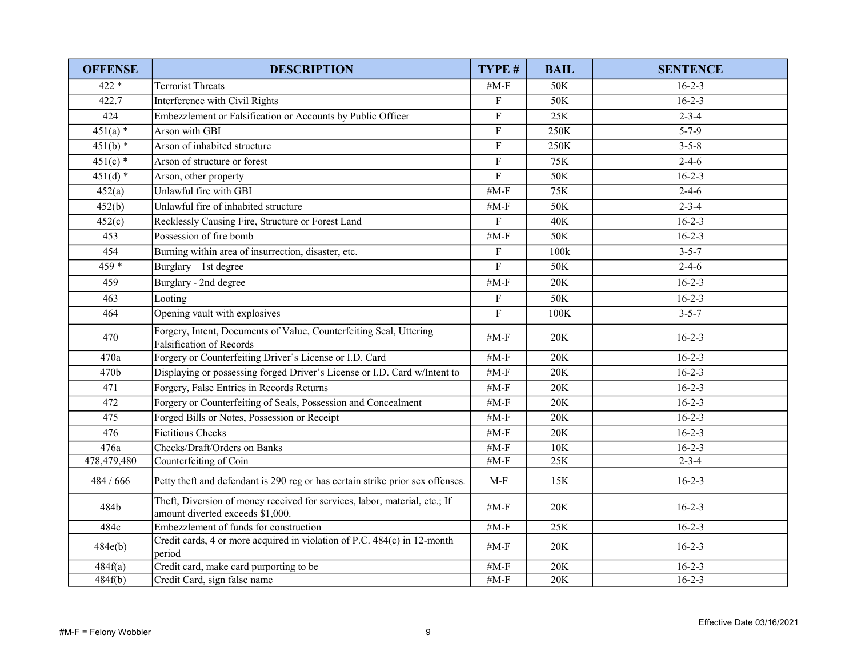| <b>OFFENSE</b> | <b>DESCRIPTION</b>                                                                                             | TYPE #                    | <b>BAIL</b> | <b>SENTENCE</b> |
|----------------|----------------------------------------------------------------------------------------------------------------|---------------------------|-------------|-----------------|
| $422 *$        | <b>Terrorist Threats</b>                                                                                       | # $M-F$                   | 50K         | $16 - 2 - 3$    |
| 422.7          | Interference with Civil Rights                                                                                 | $\mathbf F$               | 50K         | $16 - 2 - 3$    |
| 424            | Embezzlement or Falsification or Accounts by Public Officer                                                    | $\mathbf F$               | $25K$       | $2 - 3 - 4$     |
| $451(a)$ *     | Arson with GBI                                                                                                 | $\mathbf F$               | 250K        | $5 - 7 - 9$     |
| $451(b)$ *     | Arson of inhabited structure                                                                                   | F                         | 250K        | $3 - 5 - 8$     |
| $451(c)$ *     | Arson of structure or forest                                                                                   | $\mathbf{F}$              | 75K         | $2 - 4 - 6$     |
| $451(d)$ *     | Arson, other property                                                                                          | $\mathbf F$               | 50K         | $16 - 2 - 3$    |
| 452(a)         | Unlawful fire with GBI                                                                                         | # $M-F$                   | 75K         | $2 - 4 - 6$     |
| 452(b)         | Unlawful fire of inhabited structure                                                                           | # $M-F$                   | 50K         | $2 - 3 - 4$     |
| 452(c)         | Recklessly Causing Fire, Structure or Forest Land                                                              | $\mathbf{F}$              | 40K         | $16 - 2 - 3$    |
| 453            | Possession of fire bomb                                                                                        | # $M-F$                   | 50K         | $16 - 2 - 3$    |
| 454            | Burning within area of insurrection, disaster, etc.                                                            | F                         | 100k        | $3 - 5 - 7$     |
| $459*$         | Burglary - 1st degree                                                                                          | $\rm F$                   | 50K         | $2-4-6$         |
| 459            | Burglary - 2nd degree                                                                                          | # $M-F$                   | 20K         | $16 - 2 - 3$    |
| 463            | Looting                                                                                                        | $\mathbf F$               | 50K         | $16 - 2 - 3$    |
| 464            | Opening vault with explosives                                                                                  | $\boldsymbol{\mathrm{F}}$ | 100K        | $3 - 5 - 7$     |
| 470            | Forgery, Intent, Documents of Value, Counterfeiting Seal, Uttering<br><b>Falsification of Records</b>          | # $M-F$                   | 20K         | $16 - 2 - 3$    |
| 470a           | Forgery or Counterfeiting Driver's License or I.D. Card                                                        | # $M-F$                   | 20K         | $16 - 2 - 3$    |
| 470b           | Displaying or possessing forged Driver's License or I.D. Card w/Intent to                                      | $#M-F$                    | $20K$       | $16 - 2 - 3$    |
| 471            | Forgery, False Entries in Records Returns                                                                      | $#M-F$                    | 20K         | $16-2-3$        |
| 472            | Forgery or Counterfeiting of Seals, Possession and Concealment                                                 | # $M-F$                   | 20K         | $16 - 2 - 3$    |
| 475            | Forged Bills or Notes, Possession or Receipt                                                                   | $#M-F$                    | 20K         | $16 - 2 - 3$    |
| 476            | <b>Fictitious Checks</b>                                                                                       | # $M-F$                   | 20K         | $16 - 2 - 3$    |
| 476a           | Checks/Draft/Orders on Banks                                                                                   | # $M-F$                   | 10K         | $16 - 2 - 3$    |
| 478,479,480    | Counterfeiting of Coin                                                                                         | # $M-F$                   | 25K         | $2 - 3 - 4$     |
| 484 / 666      | Petty theft and defendant is 290 reg or has certain strike prior sex offenses.                                 | $M-F$                     | 15K         | $16 - 2 - 3$    |
| 484b           | Theft, Diversion of money received for services, labor, material, etc.; If<br>amount diverted exceeds \$1,000. | # $M-F$                   | 20K         | $16 - 2 - 3$    |
| 484c           | Embezzlement of funds for construction                                                                         | # $M-F$                   | $25K$       | $16 - 2 - 3$    |
| 484e(b)        | Credit cards, 4 or more acquired in violation of P.C. 484(c) in 12-month<br>period                             | # $M-F$                   | 20K         | $16 - 2 - 3$    |
| 484f(a)        | Credit card, make card purporting to be                                                                        | # $M-F$                   | 20K         | $16 - 2 - 3$    |
| 484f(b)        | Credit Card, sign false name                                                                                   | # $M-F$                   | 20K         | $16 - 2 - 3$    |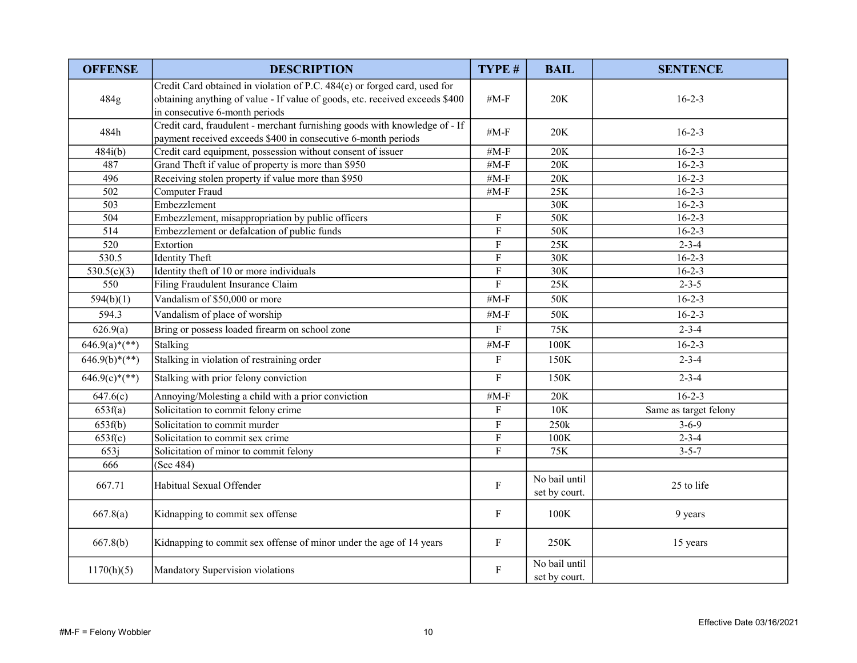| <b>OFFENSE</b>         | <b>DESCRIPTION</b>                                                                                                                                                                          | TYPE#                     | <b>BAIL</b>                    | <b>SENTENCE</b>       |
|------------------------|---------------------------------------------------------------------------------------------------------------------------------------------------------------------------------------------|---------------------------|--------------------------------|-----------------------|
| 484g                   | Credit Card obtained in violation of P.C. 484(e) or forged card, used for<br>obtaining anything of value - If value of goods, etc. received exceeds \$400<br>in consecutive 6-month periods | $#M-F$                    | 20K                            | $16 - 2 - 3$          |
| 484h                   | Credit card, fraudulent - merchant furnishing goods with knowledge of - If<br>payment received exceeds \$400 in consecutive 6-month periods                                                 | $#M-F$                    | 20K                            | $16 - 2 - 3$          |
| 484i(b)                | Credit card equipment, possession without consent of issuer                                                                                                                                 | # $M-F$                   | 20K                            | $16 - 2 - 3$          |
| 487                    | Grand Theft if value of property is more than \$950                                                                                                                                         | # $M-F$                   | 20K                            | $16 - 2 - 3$          |
| 496                    | Receiving stolen property if value more than \$950                                                                                                                                          | # $M-F$                   | 20K                            | $16 - 2 - 3$          |
| 502                    | Computer Fraud                                                                                                                                                                              | # $M-F$                   | 25K                            | $16 - 2 - 3$          |
| 503                    | Embezzlement                                                                                                                                                                                |                           | 30K                            | $16 - 2 - 3$          |
| 504                    | Embezzlement, misappropriation by public officers                                                                                                                                           | $\mathbf F$               | 50K                            | $16 - 2 - 3$          |
| 514                    | Embezzlement or defalcation of public funds                                                                                                                                                 | ${\bf F}$                 | 50K                            | $16 - 2 - 3$          |
| 520                    | Extortion                                                                                                                                                                                   | $\mathbf F$               | 25K                            | $2 - 3 - 4$           |
| 530.5                  | <b>Identity Theft</b>                                                                                                                                                                       | $\boldsymbol{\mathrm{F}}$ | 30K                            | $16 - 2 - 3$          |
| 530.5(c)(3)            | Identity theft of 10 or more individuals                                                                                                                                                    | $\overline{\mathrm{F}}$   | 30K                            | $16 - 2 - 3$          |
| 550                    | Filing Fraudulent Insurance Claim                                                                                                                                                           | $\rm F$                   | 25K                            | $2 - 3 - 5$           |
| 594(b)(1)              | Vandalism of \$50,000 or more                                                                                                                                                               | $#M-F$                    | 50K                            | $16 - 2 - 3$          |
| 594.3                  | Vandalism of place of worship                                                                                                                                                               | # $M-F$                   | 50K                            | $16 - 2 - 3$          |
| 626.9(a)               | Bring or possess loaded firearm on school zone                                                                                                                                              | $\rm F$                   | 75K                            | $2 - 3 - 4$           |
| $646.9(a)*(**)$        | Stalking                                                                                                                                                                                    | # $M-F$                   | 100K                           | $16 - 2 - 3$          |
| $646.9(b)*(**)$        | Stalking in violation of restraining order                                                                                                                                                  | $\boldsymbol{\mathrm{F}}$ | 150K                           | $2 - 3 - 4$           |
| $\sqrt{646.9(c)*(**)}$ | Stalking with prior felony conviction                                                                                                                                                       | $\overline{F}$            | 150K                           | $2 - 3 - 4$           |
| 647.6(c)               | Annoying/Molesting a child with a prior conviction                                                                                                                                          | # $M-F$                   | $20K$                          | $16 - 2 - 3$          |
| 653f(a)                | Solicitation to commit felony crime                                                                                                                                                         | $\mathbf{F}$              | 10K                            | Same as target felony |
| 653f(b)                | Solicitation to commit murder                                                                                                                                                               | $\rm F$                   | 250k                           | $3-6-9$               |
| 653f(c)                | Solicitation to commit sex crime                                                                                                                                                            | $\mathbf{F}$              | 100K                           | $2 - 3 - 4$           |
| 653j                   | Solicitation of minor to commit felony                                                                                                                                                      | $\overline{F}$            | 75K                            | $3 - 5 - 7$           |
| 666                    | (See 484)                                                                                                                                                                                   |                           |                                |                       |
| 667.71                 | Habitual Sexual Offender                                                                                                                                                                    | $\mathbf F$               | No bail until<br>set by court. | 25 to life            |
| 667.8(a)               | Kidnapping to commit sex offense                                                                                                                                                            | $\mathbf F$               | 100K                           | 9 years               |
| 667.8(b)               | Kidnapping to commit sex offense of minor under the age of 14 years                                                                                                                         | $\boldsymbol{\mathrm{F}}$ | 250K                           | 15 years              |
| 1170(h)(5)             | Mandatory Supervision violations                                                                                                                                                            | $\mathbf F$               | No bail until<br>set by court. |                       |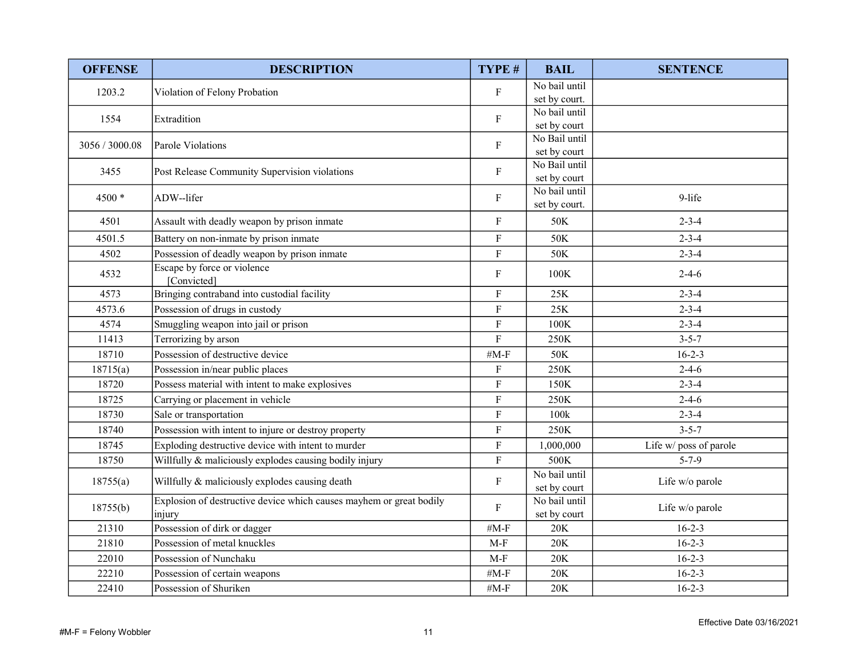| <b>OFFENSE</b> | <b>DESCRIPTION</b>                                                            | TYPE #                    | <b>BAIL</b>                   | <b>SENTENCE</b>        |
|----------------|-------------------------------------------------------------------------------|---------------------------|-------------------------------|------------------------|
| 1203.2         | Violation of Felony Probation                                                 | $\mathbf F$               | No bail until                 |                        |
|                |                                                                               |                           | set by court.                 |                        |
| 1554           | Extradition                                                                   | ${\bf F}$                 | No bail until                 |                        |
|                |                                                                               |                           | set by court<br>No Bail until |                        |
| 3056 / 3000.08 | Parole Violations                                                             | $\mathbf{F}$              | set by court                  |                        |
|                |                                                                               |                           | No Bail until                 |                        |
| 3455           | Post Release Community Supervision violations                                 | $\mathbf F$               | set by court                  |                        |
|                |                                                                               |                           | No bail until                 |                        |
| 4500 *         | ADW--lifer                                                                    | ${\bf F}$                 | set by court.                 | 9-life                 |
| 4501           | Assault with deadly weapon by prison inmate                                   | $\mathbf F$               | 50K                           | $2 - 3 - 4$            |
| 4501.5         | Battery on non-inmate by prison inmate                                        | $\mathbf F$               | 50K                           | $2 - 3 - 4$            |
| 4502           | Possession of deadly weapon by prison inmate                                  | ${\bf F}$                 | 50K                           | $2 - 3 - 4$            |
| 4532           | Escape by force or violence<br>[Convicted]                                    | ${\bf F}$                 | 100K                          | $2 - 4 - 6$            |
| 4573           | Bringing contraband into custodial facility                                   | ${\bf F}$                 | 25K                           | $2 - 3 - 4$            |
| 4573.6         | Possession of drugs in custody                                                | $\overline{F}$            | 25K                           | $2 - 3 - 4$            |
| 4574           | Smuggling weapon into jail or prison                                          | $\mathbf F$               | 100K                          | $2 - 3 - 4$            |
| 11413          | Terrorizing by arson                                                          | $\mathbf F$               | 250K                          | $3 - 5 - 7$            |
| 18710          | Possession of destructive device                                              | # $M-F$                   | 50K                           | $16 - 2 - 3$           |
| 18715(a)       | Possession in/near public places                                              | $\boldsymbol{\mathrm{F}}$ | 250K                          | $2 - 4 - 6$            |
| 18720          | Possess material with intent to make explosives                               | $\mathbf F$               | 150K                          | $2 - 3 - 4$            |
| 18725          | Carrying or placement in vehicle                                              | ${\bf F}$                 | 250K                          | $2 - 4 - 6$            |
| 18730          | Sale or transportation                                                        | $\mathbf F$               | 100k                          | $2 - 3 - 4$            |
| 18740          | Possession with intent to injure or destroy property                          | $\mathbf F$               | 250K                          | $3 - 5 - 7$            |
| 18745          | Exploding destructive device with intent to murder                            | $\mathbf F$               | 1,000,000                     | Life w/ poss of parole |
| 18750          | Willfully & maliciously explodes causing bodily injury                        | $\overline{F}$            | 500K                          | $5 - 7 - 9$            |
| 18755(a)       | Willfully & maliciously explodes causing death                                | $\mathbf F$               | No bail until<br>set by court | Life w/o parole        |
| 18755(b)       | Explosion of destructive device which causes mayhem or great bodily<br>injury | F                         | No bail until<br>set by court | Life w/o parole        |
| 21310          | Possession of dirk or dagger                                                  | $#M-F$                    | 20K                           | $16 - 2 - 3$           |
| 21810          | Possession of metal knuckles                                                  | $M-F$                     | 20K                           | $16 - 2 - 3$           |
| 22010          | Possession of Nunchaku                                                        | $M-F$                     | $20K$                         | $16-2-3$               |
| 22210          | Possession of certain weapons                                                 | $#M-F$                    | $20K$                         | $16 - 2 - 3$           |
| 22410          | Possession of Shuriken                                                        | # $M-F$                   | 20K                           | $16 - 2 - 3$           |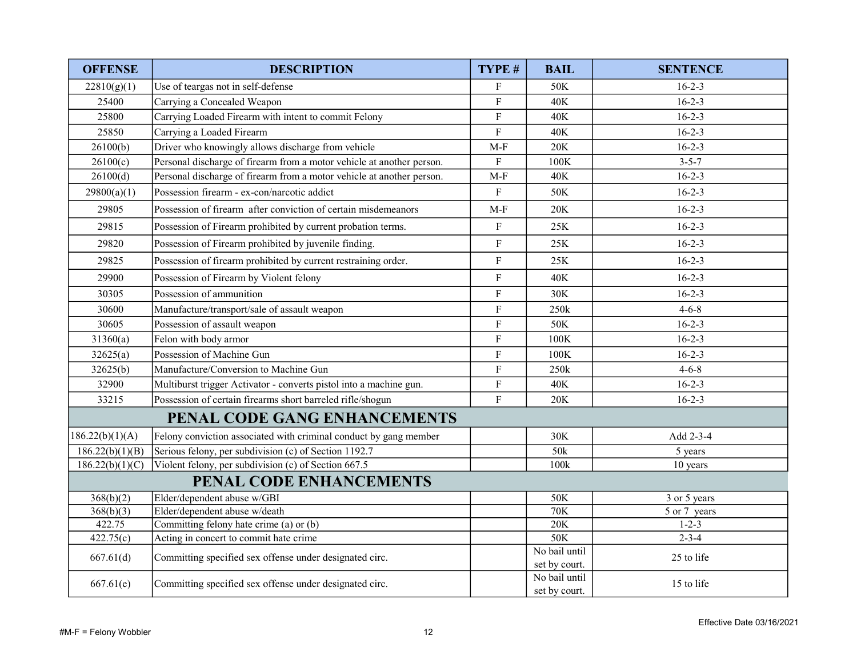| <b>OFFENSE</b>               | <b>DESCRIPTION</b>                                                    | TYPE #         | <b>BAIL</b>                    | <b>SENTENCE</b> |
|------------------------------|-----------------------------------------------------------------------|----------------|--------------------------------|-----------------|
| 22810(g)(1)                  | Use of teargas not in self-defense                                    | $\mathbf{F}$   | 50K                            | $16 - 2 - 3$    |
| 25400                        | Carrying a Concealed Weapon                                           | ${\bf F}$      | 40K                            | $16 - 2 - 3$    |
| 25800                        | Carrying Loaded Firearm with intent to commit Felony                  | $\overline{F}$ | 40K                            | $16 - 2 - 3$    |
| 25850                        | Carrying a Loaded Firearm                                             | $\mathbf F$    | 40K                            | $16 - 2 - 3$    |
| 26100(b)                     | Driver who knowingly allows discharge from vehicle                    | $M-F$          | 20K                            | $16 - 2 - 3$    |
| 26100(c)                     | Personal discharge of firearm from a motor vehicle at another person. | $\mathbf{F}$   | 100K                           | $3 - 5 - 7$     |
| 26100(d)                     | Personal discharge of firearm from a motor vehicle at another person. | $M-F$          | <b>40K</b>                     | $16 - 2 - 3$    |
| 29800(a)(1)                  | Possession firearm - ex-con/narcotic addict                           | $\rm F$        | 50K                            | $16 - 2 - 3$    |
| 29805                        | Possession of firearm after conviction of certain misdemeanors        | $M-F$          | 20K                            | $16 - 2 - 3$    |
| 29815                        | Possession of Firearm prohibited by current probation terms.          | F              | 25K                            | $16 - 2 - 3$    |
| 29820                        | Possession of Firearm prohibited by juvenile finding.                 | $\mathbf F$    | 25K                            | $16 - 2 - 3$    |
| 29825                        | Possession of firearm prohibited by current restraining order.        | $\mathbf F$    | 25K                            | $16 - 2 - 3$    |
| 29900                        | Possession of Firearm by Violent felony                               | $\mathbf F$    | 40K                            | $16 - 2 - 3$    |
| 30305                        | Possession of ammunition                                              | $\mathbf F$    | 30K                            | $16 - 2 - 3$    |
| 30600                        | Manufacture/transport/sale of assault weapon                          | $\mathbf F$    | 250k                           | $4 - 6 - 8$     |
| 30605                        | Possession of assault weapon                                          | $\mathbf F$    | 50K                            | $16 - 2 - 3$    |
| 31360(a)                     | Felon with body armor                                                 | $\overline{F}$ | 100K                           | $16 - 2 - 3$    |
| 32625(a)                     | Possession of Machine Gun                                             | $\rm F$        | 100K                           | $16 - 2 - 3$    |
| 32625(b)                     | Manufacture/Conversion to Machine Gun                                 | $\rm F$        | 250k                           | $4 - 6 - 8$     |
| 32900                        | Multiburst trigger Activator - converts pistol into a machine gun.    | $\rm F$        | 40K                            | $16 - 2 - 3$    |
| 33215                        | Possession of certain firearms short barreled rifle/shogun            | F              | $20K$                          | $16 - 2 - 3$    |
|                              | PENAL CODE GANG ENHANCEMENTS                                          |                |                                |                 |
| 186.22(b)(1)(A)              | Felony conviction associated with criminal conduct by gang member     |                | 30K                            | Add 2-3-4       |
| 186.22(b)(1)(B)              | Serious felony, per subdivision (c) of Section 1192.7                 |                | 50k                            | 5 years         |
| $\overline{186.22(b)(1)(C)}$ | Violent felony, per subdivision (c) of Section 667.5                  |                | 100k                           | 10 years        |
|                              | PENAL CODE ENHANCEMENTS                                               |                |                                |                 |
| 368(b)(2)                    | Elder/dependent abuse w/GBI                                           |                | 50K                            | 3 or 5 years    |
| 368(b)(3)                    | Elder/dependent abuse w/death                                         |                | 70K                            | 5 or 7 years    |
| 422.75                       | Committing felony hate crime (a) or (b)                               |                | 20K                            | $1 - 2 - 3$     |
| 422.75(c)                    | Acting in concert to commit hate crime                                |                | 50K                            | $2 - 3 - 4$     |
| 667.61(d)                    | Committing specified sex offense under designated circ.               |                | No bail until<br>set by court. | 25 to life      |
| 667.61(e)                    | Committing specified sex offense under designated circ.               |                | No bail until<br>set by court. | 15 to life      |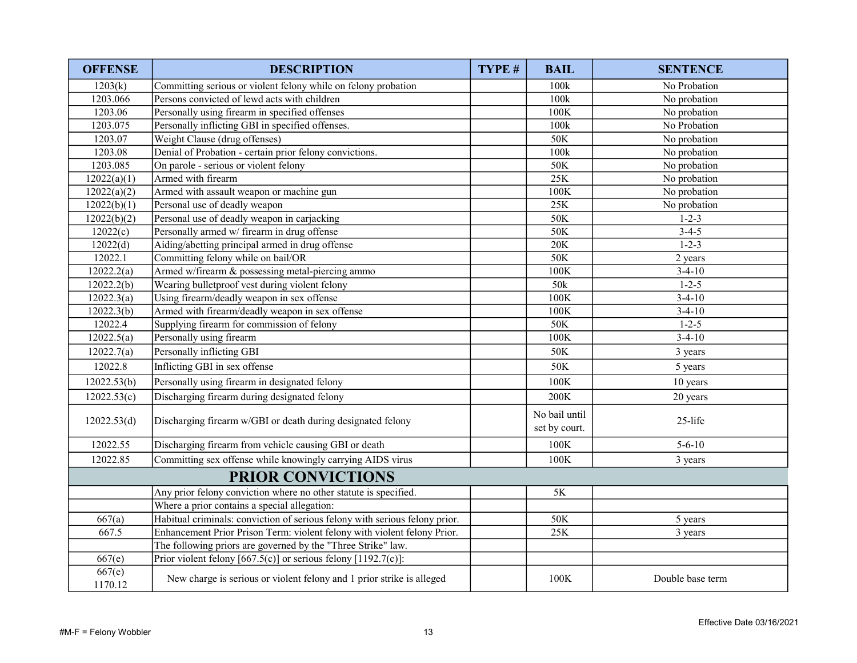| <b>OFFENSE</b>    | <b>DESCRIPTION</b>                                                          | TYPE # | <b>BAIL</b>                    | <b>SENTENCE</b>  |
|-------------------|-----------------------------------------------------------------------------|--------|--------------------------------|------------------|
| 1203(k)           | Committing serious or violent felony while on felony probation              |        | 100k                           | No Probation     |
| 1203.066          | Persons convicted of lewd acts with children                                |        | 100k                           | No probation     |
| 1203.06           | Personally using firearm in specified offenses                              |        | 100K                           | No probation     |
| 1203.075          | Personally inflicting GBI in specified offenses.                            |        | 100k                           | No Probation     |
| 1203.07           | Weight Clause (drug offenses)                                               |        | 50K                            | No probation     |
| 1203.08           | Denial of Probation - certain prior felony convictions.                     |        | 100k                           | No probation     |
| 1203.085          | On parole - serious or violent felony                                       |        | 50K                            | No probation     |
| 12022(a)(1)       | Armed with firearm                                                          |        | 25K                            | No probation     |
| 12022(a)(2)       | Armed with assault weapon or machine gun                                    |        | 100K                           | No probation     |
| 12022(b)(1)       | Personal use of deadly weapon                                               |        | 25K                            | No probation     |
| 12022(b)(2)       | Personal use of deadly weapon in carjacking                                 |        | 50K                            | $1 - 2 - 3$      |
| 12022(c)          | Personally armed w/ firearm in drug offense                                 |        | 50K                            | $3-4-5$          |
| 12022(d)          | Aiding/abetting principal armed in drug offense                             |        | $20K$                          | $1 - 2 - 3$      |
| 12022.1           | Committing felony while on bail/OR                                          |        | 50K                            | 2 years          |
| 12022.2(a)        | Armed w/firearm & possessing metal-piercing ammo                            |        | 100K                           | $3-4-10$         |
| 12022.2(b)        | Wearing bulletproof vest during violent felony                              |        | 50k                            | $1 - 2 - 5$      |
| 12022.3(a)        | Using firearm/deadly weapon in sex offense                                  |        | 100K                           | $3-4-10$         |
| 12022.3(b)        | Armed with firearm/deadly weapon in sex offense                             |        | $100\mathrm{K}$                | $3-4-10$         |
| 12022.4           | Supplying firearm for commission of felony                                  |        | 50K                            | $1 - 2 - 5$      |
| 12022.5(a)        | Personally using firearm                                                    |        | 100K                           | $3-4-10$         |
| 12022.7(a)        | Personally inflicting GBI                                                   |        | 50K                            | 3 years          |
| 12022.8           | Inflicting GBI in sex offense                                               |        | 50K                            | 5 years          |
| 12022.53(b)       | Personally using firearm in designated felony                               |        | 100K                           | 10 years         |
| 12022.53(c)       | Discharging firearm during designated felony                                |        | 200K                           | 20 years         |
| 12022.53(d)       | Discharging firearm w/GBI or death during designated felony                 |        | No bail until<br>set by court. | 25-life          |
| 12022.55          | Discharging firearm from vehicle causing GBI or death                       |        | $100K$                         | $5 - 6 - 10$     |
| 12022.85          | Committing sex offense while knowingly carrying AIDS virus                  |        | 100K                           | 3 years          |
|                   | PRIOR CONVICTIONS                                                           |        |                                |                  |
|                   | Any prior felony conviction where no other statute is specified.            |        | $5K$                           |                  |
|                   | Where a prior contains a special allegation:                                |        |                                |                  |
| 667(a)            | Habitual criminals: conviction of serious felony with serious felony prior. |        | 50K                            | 5 years          |
| 667.5             | Enhancement Prior Prison Term: violent felony with violent felony Prior.    |        | 25K                            | 3 years          |
|                   | The following priors are governed by the "Three Strike" law.                |        |                                |                  |
| 667(e)            | Prior violent felony [667.5(c)] or serious felony [1192.7(c)]:              |        |                                |                  |
| 667(e)<br>1170.12 | New charge is serious or violent felony and 1 prior strike is alleged       |        | 100K                           | Double base term |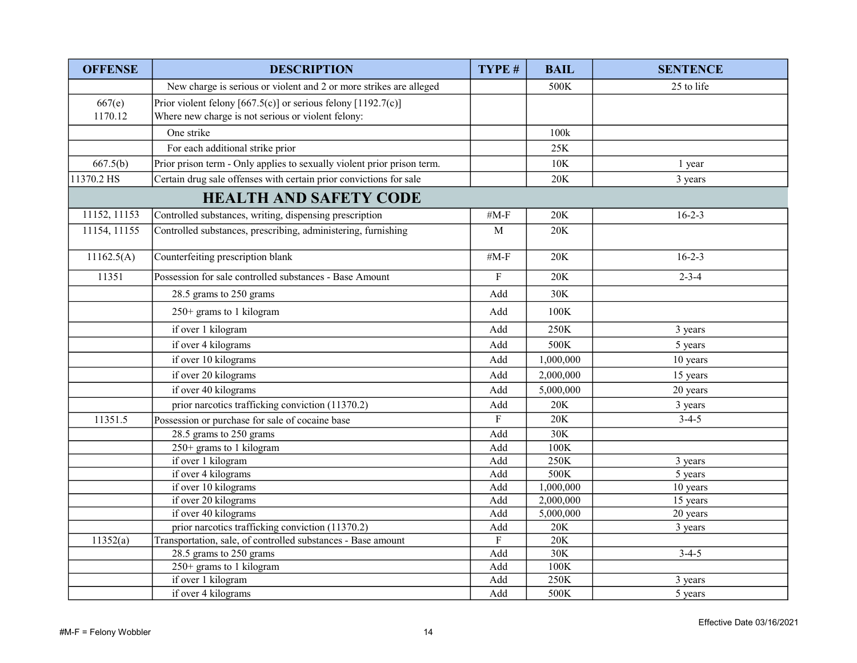| <b>OFFENSE</b> | <b>DESCRIPTION</b>                                                      | TYPE #                    | <b>BAIL</b> | <b>SENTENCE</b> |
|----------------|-------------------------------------------------------------------------|---------------------------|-------------|-----------------|
|                | New charge is serious or violent and 2 or more strikes are alleged      |                           | 500K        | 25 to life      |
| 667(e)         | Prior violent felony [667.5(c)] or serious felony [1192.7(c)]           |                           |             |                 |
| 1170.12        | Where new charge is not serious or violent felony:                      |                           |             |                 |
|                | One strike                                                              |                           | 100k        |                 |
|                | For each additional strike prior                                        |                           | 25K         |                 |
| 667.5(b)       | Prior prison term - Only applies to sexually violent prior prison term. |                           | <b>10K</b>  | 1 year          |
| 11370.2 HS     | Certain drug sale offenses with certain prior convictions for sale      |                           | 20K         | 3 years         |
|                | <b>HEALTH AND SAFETY CODE</b>                                           |                           |             |                 |
| 11152, 11153   | Controlled substances, writing, dispensing prescription                 | $#M-F$                    | 20K         | $16 - 2 - 3$    |
| 11154, 11155   | Controlled substances, prescribing, administering, furnishing           | $\mathbf M$               | 20K         |                 |
| 11162.5(A)     | Counterfeiting prescription blank                                       | $#M-F$                    | 20K         | $16 - 2 - 3$    |
| 11351          | Possession for sale controlled substances - Base Amount                 | ${\bf F}$                 | 20K         | $2 - 3 - 4$     |
|                | 28.5 grams to 250 grams                                                 | Add                       | 30K         |                 |
|                | $250+$ grams to 1 kilogram                                              | Add                       | 100K        |                 |
|                | if over 1 kilogram                                                      | Add                       | 250K        | 3 years         |
|                | if over 4 kilograms                                                     | Add                       | 500K        | 5 years         |
|                | if over 10 kilograms                                                    | Add                       | 1,000,000   | 10 years        |
|                | if over 20 kilograms                                                    | Add                       | 2,000,000   | 15 years        |
|                | if over 40 kilograms                                                    | Add                       | 5,000,000   | 20 years        |
|                | prior narcotics trafficking conviction (11370.2)                        | Add                       | 20K         | 3 years         |
| 11351.5        | Possession or purchase for sale of cocaine base                         | $\boldsymbol{\mathrm{F}}$ | 20K         | $3-4-5$         |
|                | 28.5 grams to 250 grams                                                 | Add                       | 30K         |                 |
|                | 250+ grams to 1 kilogram                                                | Add                       | 100K        |                 |
|                | if over 1 kilogram                                                      | Add                       | 250K        | 3 years         |
|                | if over 4 kilograms                                                     | Add                       | 500K        | 5 years         |
|                | if over 10 kilograms                                                    | Add                       | 1,000,000   | 10 years        |
|                | if over 20 kilograms                                                    | Add                       | 2,000,000   | 15 years        |
|                | if over 40 kilograms                                                    | Add                       | 5,000,000   | 20 years        |
|                | prior narcotics trafficking conviction (11370.2)                        | Add                       | 20K         | 3 years         |
| 11352(a)       | Transportation, sale, of controlled substances - Base amount            | ${\bf F}$                 | 20K         |                 |
|                | 28.5 grams to 250 grams                                                 | Add                       | 30K         | $3-4-5$         |
|                | 250+ grams to 1 kilogram                                                | Add                       | 100K        |                 |
|                | if over 1 kilogram                                                      | Add                       | 250K        | 3 years         |
|                | if over 4 kilograms                                                     | Add                       | 500K        | 5 years         |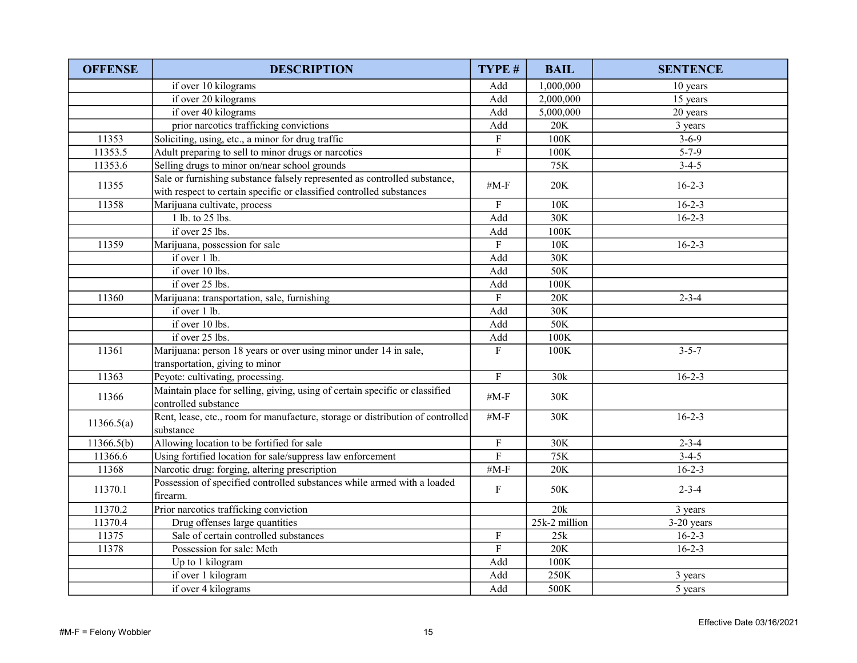| <b>OFFENSE</b> | <b>DESCRIPTION</b>                                                                                                                                | TYPE #                        | <b>BAIL</b>     | <b>SENTENCE</b> |
|----------------|---------------------------------------------------------------------------------------------------------------------------------------------------|-------------------------------|-----------------|-----------------|
|                | if over 10 kilograms                                                                                                                              | Add                           | 1,000,000       | 10 years        |
|                | if over 20 kilograms                                                                                                                              | Add                           | 2,000,000       | 15 years        |
|                | if over 40 kilograms                                                                                                                              | Add                           | 5,000,000       | 20 years        |
|                | prior narcotics trafficking convictions                                                                                                           | Add                           | 20K             | 3 years         |
| 11353          | Soliciting, using, etc., a minor for drug traffic                                                                                                 | ${\bf F}$                     | 100K            | $3 - 6 - 9$     |
| 11353.5        | Adult preparing to sell to minor drugs or narcotics                                                                                               | $\overline{F}$                | 100K            | $5 - 7 - 9$     |
| 11353.6        | Selling drugs to minor on/near school grounds                                                                                                     |                               | 75K             | $3-4-5$         |
| 11355          | Sale or furnishing substance falsely represented as controlled substance,<br>with respect to certain specific or classified controlled substances | # $M-F$                       | 20K             | $16 - 2 - 3$    |
| 11358          | Marijuana cultivate, process                                                                                                                      | ${\bf F}$                     | 10K             | $16 - 2 - 3$    |
|                | 1 lb. to 25 lbs.                                                                                                                                  | Add                           | 30K             | $16 - 2 - 3$    |
|                | if over 25 lbs.                                                                                                                                   | $\operatorname{\mathsf{Add}}$ | 100K            |                 |
| 11359          | Marijuana, possession for sale                                                                                                                    | ${\bf F}$                     | 10K             | $16 - 2 - 3$    |
|                | if over 1 lb.                                                                                                                                     | Add                           | 30K             |                 |
|                | if over 10 lbs.                                                                                                                                   | Add                           | 50K             |                 |
|                | if over $25$ lbs.                                                                                                                                 | Add                           | 100K            |                 |
| 11360          | Marijuana: transportation, sale, furnishing                                                                                                       | $\mathbf{F}$                  | 20K             | $2 - 3 - 4$     |
|                | if over 1 lb.                                                                                                                                     | Add                           | 30K             |                 |
|                | if over 10 lbs.                                                                                                                                   | Add                           | 50K             |                 |
|                | if over 25 lbs.                                                                                                                                   | Add                           | 100K            |                 |
| 11361          | Marijuana: person 18 years or over using minor under 14 in sale,<br>transportation, giving to minor                                               | $\overline{\mathrm{F}}$       | 100K            | $3 - 5 - 7$     |
| 11363          | Peyote: cultivating, processing.                                                                                                                  | ${\bf F}$                     | 30k             | $16 - 2 - 3$    |
| 11366          | Maintain place for selling, giving, using of certain specific or classified<br>controlled substance                                               | # $M-F$                       | 30K             |                 |
| 11366.5(a)     | Rent, lease, etc., room for manufacture, storage or distribution of controlled<br>substance                                                       | #M-F                          | 30K             | $16 - 2 - 3$    |
| 11366.5(b)     | Allowing location to be fortified for sale                                                                                                        | $\mathbf F$                   | 30K             | $2 - 3 - 4$     |
| 11366.6        | Using fortified location for sale/suppress law enforcement                                                                                        | ${\bf F}$                     | 75K             | $3-4-5$         |
| 11368          | Narcotic drug: forging, altering prescription                                                                                                     | # $M-F$                       | 20K             | $16 - 2 - 3$    |
| 11370.1        | Possession of specified controlled substances while armed with a loaded<br>firearm.                                                               | $\mathbf F$                   | 50K             | $2 - 3 - 4$     |
| 11370.2        | Prior narcotics trafficking conviction                                                                                                            |                               | 20k             | 3 years         |
| 11370.4        | Drug offenses large quantities                                                                                                                    |                               | 25k-2 million   | $3-20$ years    |
| 11375          | Sale of certain controlled substances                                                                                                             | $\mathbf F$                   | 25k             | $16 - 2 - 3$    |
| 11378          | Possession for sale: Meth                                                                                                                         | ${\bf F}$                     | 20K             | $16-2-3$        |
|                | Up to 1 kilogram                                                                                                                                  | Add                           | $100\mathrm{K}$ |                 |
|                | if over 1 kilogram                                                                                                                                | Add                           | 250K            | 3 years         |
|                | if over 4 kilograms                                                                                                                               | Add                           | 500K            | 5 years         |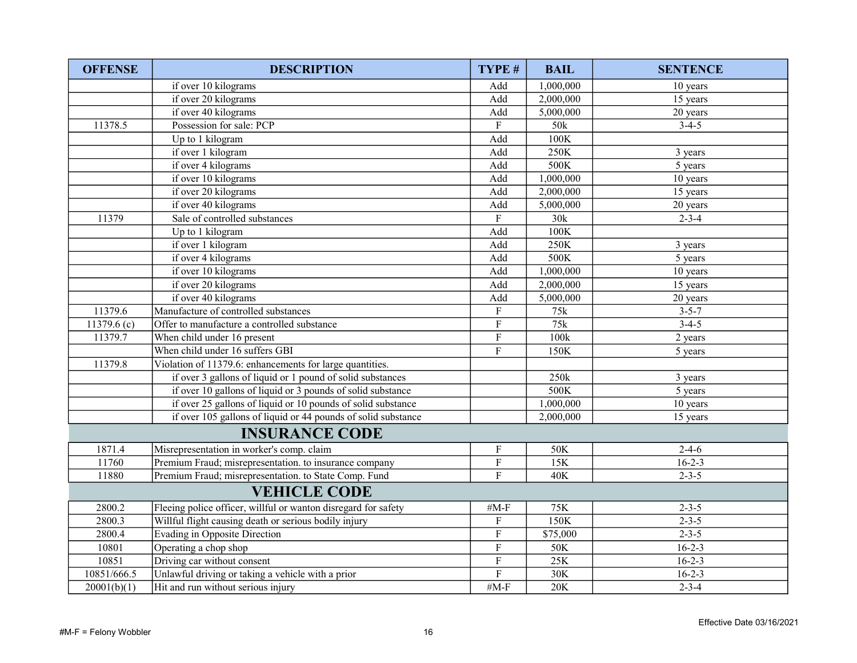| <b>OFFENSE</b> | <b>DESCRIPTION</b>                                             | TYPE #                    | <b>BAIL</b>    | <b>SENTENCE</b> |
|----------------|----------------------------------------------------------------|---------------------------|----------------|-----------------|
|                | if over 10 kilograms                                           | Add                       | 1,000,000      | 10 years        |
|                | if over 20 kilograms                                           | Add                       | 2,000,000      | 15 years        |
|                | if over 40 kilograms                                           | Add                       | 5,000,000      | 20 years        |
| 11378.5        | Possession for sale: PCP                                       | $\boldsymbol{\mathrm{F}}$ | 50k            | $3-4-5$         |
|                | Up to 1 kilogram                                               | Add                       | 100K           |                 |
|                | if over 1 kilogram                                             | Add                       | 250K           | 3 years         |
|                | if over 4 kilograms                                            | Add                       | 500K           | 5 years         |
|                | if over 10 kilograms                                           | Add                       | 1,000,000      | 10 years        |
|                | if over 20 kilograms                                           | Add                       | 2,000,000      | 15 years        |
|                | if over 40 kilograms                                           | Add                       | 5,000,000      | 20 years        |
| 11379          | Sale of controlled substances                                  | $\mathbf F$               | 30k            | $2 - 3 - 4$     |
|                | Up to 1 kilogram                                               | Add                       | 100K           |                 |
|                | if over 1 kilogram                                             | Add                       | 250K           | 3 years         |
|                | if over 4 kilograms                                            | Add                       | 500K           | 5 years         |
|                | if over 10 kilograms                                           | Add                       | 1,000,000      | 10 years        |
|                | if over 20 kilograms                                           | Add                       | 2,000,000      | 15 years        |
|                | if over 40 kilograms                                           | Add                       | 5,000,000      | 20 years        |
| 11379.6        | Manufacture of controlled substances                           | ${\bf F}$                 | $75\mathrm{k}$ | $3 - 5 - 7$     |
| 11379.6 $(c)$  | Offer to manufacture a controlled substance                    | ${\bf F}$                 | 75k            | $3-4-5$         |
| 11379.7        | When child under 16 present                                    | ${\bf F}$                 | 100k           | 2 years         |
|                | When child under 16 suffers GBI                                | $\overline{F}$            | 150K           | 5 years         |
| 11379.8        | Violation of 11379.6: enhancements for large quantities.       |                           |                |                 |
|                | if over 3 gallons of liquid or 1 pound of solid substances     |                           | 250k           | 3 years         |
|                | if over 10 gallons of liquid or 3 pounds of solid substance    |                           | 500K           | 5 years         |
|                | if over 25 gallons of liquid or 10 pounds of solid substance   |                           | 1,000,000      | 10 years        |
|                | if over 105 gallons of liquid or 44 pounds of solid substance  |                           | 2,000,000      | 15 years        |
|                | <b>INSURANCE CODE</b>                                          |                           |                |                 |
| 1871.4         | Misrepresentation in worker's comp. claim                      | ${\bf F}$                 | 50K            | $2 - 4 - 6$     |
| 11760          | Premium Fraud; misrepresentation. to insurance company         | ${\bf F}$                 | 15K            | $16 - 2 - 3$    |
| 11880          | Premium Fraud; misrepresentation. to State Comp. Fund          | $\overline{\mathrm{F}}$   | 40K            | $2 - 3 - 5$     |
|                | <b>VEHICLE CODE</b>                                            |                           |                |                 |
| 2800.2         | Fleeing police officer, willful or wanton disregard for safety | # $M-F$                   | 75K            | $2 - 3 - 5$     |
| 2800.3         | Willful flight causing death or serious bodily injury          | ${\bf F}$                 | 150K           | $2 - 3 - 5$     |
| 2800.4         | Evading in Opposite Direction                                  | ${\bf F}$                 | \$75,000       | $2 - 3 - 5$     |
| 10801          | Operating a chop shop                                          | ${\bf F}$                 | 50K            | $16-2-3$        |
| 10851          | Driving car without consent                                    | ${\bf F}$                 | 25K            | $16 - 2 - 3$    |
| 10851/666.5    | Unlawful driving or taking a vehicle with a prior              | ${\bf F}$                 | 30K            | $16 - 2 - 3$    |
| 20001(b)(1)    | Hit and run without serious injury                             | $#M-F$                    | 20K            | $2 - 3 - 4$     |